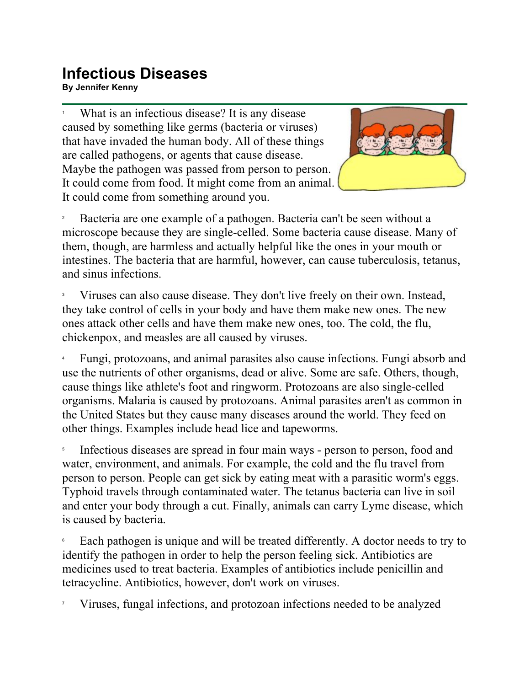## **Infectious Diseases**

**By Jennifer Kenny**

1 What is an infectious disease? It is any disease caused by something like germs (bacteria or viruses) that have invaded the human body. All of these things are called pathogens, or agents that cause disease. Maybe the pathogen was passed from person to person. It could come from food. It might come from an animal. It could come from something around you.



2 Bacteria are one example of a pathogen. Bacteria can't be seen without a microscope because they are single-celled. Some bacteria cause disease. Many of them, though, are harmless and actually helpful like the ones in your mouth or intestines. The bacteria that are harmful, however, can cause tuberculosis, tetanus, and sinus infections.

3 Viruses can also cause disease. They don't live freely on their own. Instead, they take control of cells in your body and have them make new ones. The new ones attack other cells and have them make new ones, too. The cold, the flu, chickenpox, and measles are all caused by viruses.

4 Fungi, protozoans, and animal parasites also cause infections. Fungi absorb and use the nutrients of other organisms, dead or alive. Some are safe. Others, though, cause things like athlete's foot and ringworm. Protozoans are also single-celled organisms. Malaria is caused by protozoans. Animal parasites aren't as common in the United States but they cause many diseases around the world. They feed on other things. Examples include head lice and tapeworms.

5 Infectious diseases are spread in four main ways - person to person, food and water, environment, and animals. For example, the cold and the flu travel from person to person. People can get sick by eating meat with a parasitic worm's eggs. Typhoid travels through contaminated water. The tetanus bacteria can live in soil and enter your body through a cut. Finally, animals can carry Lyme disease, which is caused by bacteria.

6 Each pathogen is unique and will be treated differently. A doctor needs to try to identify the pathogen in order to help the person feeling sick. Antibiotics are medicines used to treat bacteria. Examples of antibiotics include penicillin and tetracycline. Antibiotics, however, don't work on viruses.

7 Viruses, fungal infections, and protozoan infections needed to be analyzed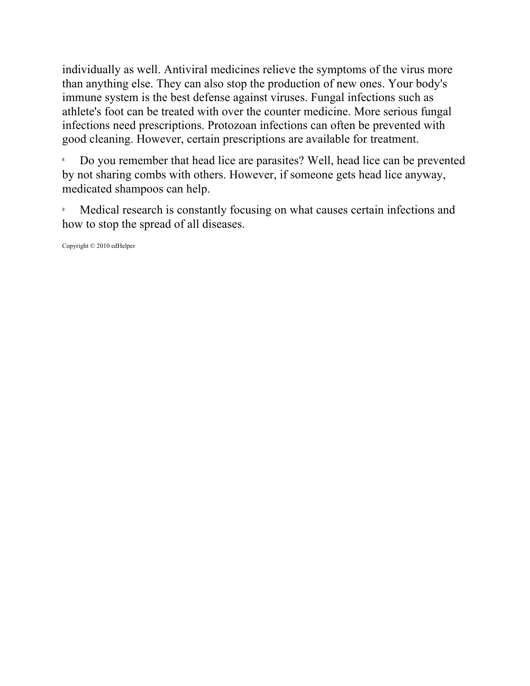individually as well. Antiviral medicines relieve the symptoms of the virus more than anything else. They can also stop the production of new ones. Your body's immune system is the best defense against viruses. Fungal infections such as athlete's foot can be treated with over the counter medicine. More serious fungal infections need prescriptions. Protozoan infections can often be prevented with good cleaning. However, certain prescriptions are available for treatment.

8 Do you remember that head lice are parasites? Well, head lice can be prevented by not sharing combs with others. However, if someone gets head lice anyway, medicated shampoos can help.

9 Medical research is constantly focusing on what causes certain infections and how to stop the spread of all diseases.

Copyright © 2010 edHelper